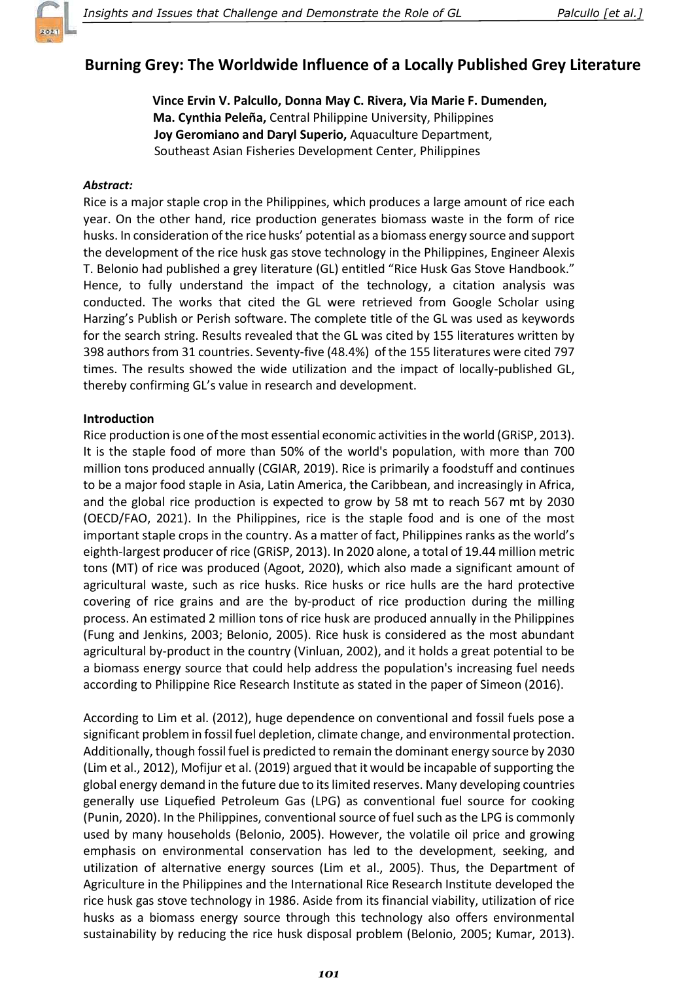

# **Burning Grey: The Worldwide Influence of a Locally Published Grey Literature**

Vince Ervin V. Palcullo, Donna May C. Rivera, Via Marie F. Dumenden: Ma. Cynthia Peleña, Central Philippine University, Philippines Joy Geromiano and Daryl Superio, Aquaculture Department, Southeast Asian Fisheries Development Center, Philippines

### Abstract:

Rice is a major staple crop in the Philippines, which produces a large amount of rice each year. On the other hand, rice production generates biomass waste in the form of rice husks. In consideration of the rice husks' potential as a biomass energy source and support the development of the rice husk gas stove technology in the Philippines, Engineer Alexis T. Belonio had published a grey literature (GL) entitled "Rice Husk Gas Stove Handbook." Hence, to fully understand the impact of the technology, a citation analysis was conducted. The works that cited the GL were retrieved from Google Scholar using Harzing's Publish or Perish software. The complete title of the GL was used as keywords for the search string. Results revealed that the GL was cited by 155 literatures written by 398 authors from 31 countries. Seventy-five (48.4%) of the 155 literatures were cited 797 times. The results showed the wide utilization and the impact of locally-published GL, thereby confirming GL's value in research and development.

### Introduction

Rice production is one of the most essential economic activities in the world (GRiSP, 2013). It is the staple food of more than 50% of the world's population, with more than 700 million tons produced annually (CGIAR, 2019). Rice is primarily a foodstuff and continues to be a major food staple in Asia, Latin America, the Caribbean, and increasingly in Africa, and the global rice production is expected to grow by 58 mt to reach 567 mt by 2030 (OECD/FAO, 2021). In the Philippines, rice is the staple food and is one of the most important staple crops in the country. As a matter of fact, Philippines ranks as the world's eighth-largest producer of rice (GRiSP, 2013). In 2020 alone, a total of 19.44 million metric tons (MT) of rice was produced (Agoot, 2020), which also made a significant amount of agricultural waste, such as rice husks. Rice husks or rice hulls are the hard protective covering of rice grains and are the by-product of rice production during the milling process. An estimated 2 million tons of rice husk are produced annually in the Philippines (Fung and Jenkins, 2003; Belonio, 2005). Rice husk is considered as the most abundant agricultural by-product in the country (Vinluan, 2002), and it holds a great potential to be a biomass energy source that could help address the population's increasing fuel needs according to Philippine Rice Research Institute as stated in the paper of Simeon (2016).

According to Lim et al. (2012), huge dependence on conventional and fossil fuels pose a significant problem in fossil fuel depletion, climate change, and environmental protection. Additionally, though fossil fuel is predicted to remain the dominant energy source by 2030 (Lim et al., 2012), Mofijur et al. (2019) argued that it would be incapable of supporting the global energy demand in the future due to its limited reserves. Many developing countries generally use Liquefied Petroleum Gas (LPG) as conventional fuel source for cooking (Punin, 2020). In the Philippines, conventional source of fuel such as the LPG is commonly used by many households (Belonio, 2005). However, the volatile oil price and growing emphasis on environmental conservation has led to the development, seeking, and utilization of alternative energy sources (Lim et al., 2005). Thus, the Department of Agriculture in the Philippines and the International Rice Research Institute developed the rice husk gas stove technology in 1986. Aside from its financial viability, utilization of rice husks as a biomass energy source through this technology also offers environmental sustainability by reducing the rice husk disposal problem (Belonio, 2005; Kumar, 2013).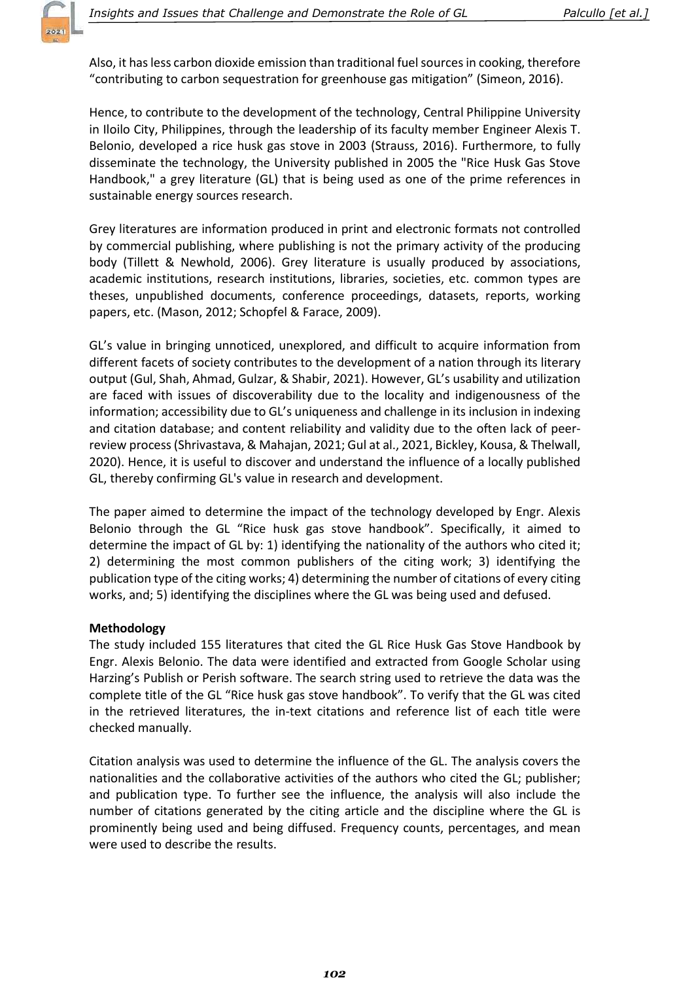Also, it has less carbon dioxide emission than traditional fuel sources in cooking, therefore "contributing to carbon sequestration for greenhouse gas mitigation" (Simeon, 2016).

Hence, to contribute to the development of the technology, Central Philippine University in Iloilo City, Philippines, through the leadership of its faculty member Engineer Alexis T. Belonio, developed a rice husk gas stove in 2003 (Strauss, 2016). Furthermore, to fully disseminate the technology, the University published in 2005 the "Rice Husk Gas Stove Handbook," a grey literature (GL) that is being used as one of the prime references in sustainable energy sources research.

Grey literatures are information produced in print and electronic formats not controlled by commercial publishing, where publishing is not the primary activity of the producing body (Tillett & Newhold, 2006). Grey literature is usually produced by associations, academic institutions, research institutions, libraries, societies, etc. common types are theses, unpublished documents, conference proceedings, datasets, reports, working papers, etc. (Mason, 2012; Schopfel & Farace, 2009).

GL's value in bringing unnoticed, unexplored, and difficult to acquire information from different facets of society contributes to the development of a nation through its literary output (Gul, Shah, Ahmad, Gulzar, & Shabir, 2021). However, GL's usability and utilization are faced with issues of discoverability due to the locality and indigenousness of the information; accessibility due to GL's uniqueness and challenge in its inclusion in indexing and citation database; and content reliability and validity due to the often lack of peerreview process (Shrivastava, & Mahajan, 2021; Gul at al., 2021, Bickley, Kousa, & Thelwall, 2020). Hence, it is useful to discover and understand the influence of a locally published GL, thereby confirming GL's value in research and development.

The paper aimed to determine the impact of the technology developed by Engr. Alexis Belonio through the GL "Rice husk gas stove handbook". Specifically, it aimed to determine the impact of GL by: 1) identifying the nationality of the authors who cited it; 2) determining the most common publishers of the citing work; 3) identifying the publication type of the citing works; 4) determining the number of citations of every citing works, and; 5) identifying the disciplines where the GL was being used and defused.

# Methodology

The study included 155 literatures that cited the GL Rice Husk Gas Stove Handbook by Engr. Alexis Belonio. The data were identified and extracted from Google Scholar using Harzing's Publish or Perish software. The search string used to retrieve the data was the complete title of the GL "Rice husk gas stove handbook". To verify that the GL was cited in the retrieved literatures, the in-text citations and reference list of each title were checked manually.

Citation analysis was used to determine the influence of the GL. The analysis covers the nationalities and the collaborative activities of the authors who cited the GL; publisher; and publication type. To further see the influence, the analysis will also include the number of citations generated by the citing article and the discipline where the GL is prominently being used and being diffused. Frequency counts, percentages, and mean were used to describe the results.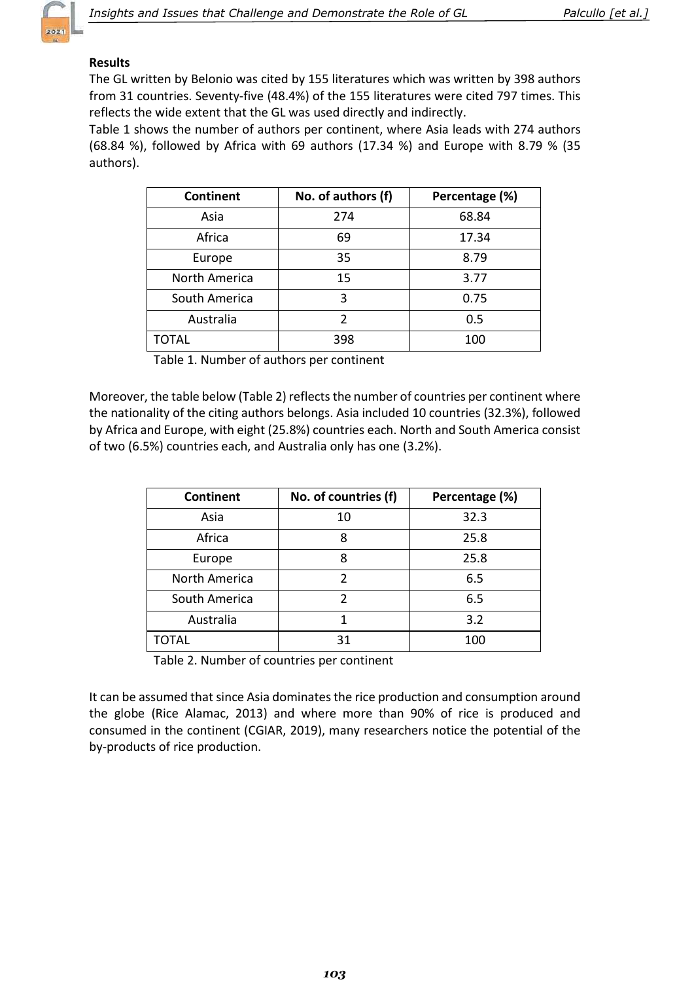

# Results

The GL written by Belonio was cited by 155 literatures which was written by 398 authors from 31 countries. Seventy-five (48.4%) of the 155 literatures were cited 797 times. This reflects the wide extent that the GL was used directly and indirectly.

Table 1 shows the number of authors per continent, where Asia leads with 274 authors (68.84 %), followed by Africa with 69 authors (17.34 %) and Europe with 8.79 % (35 authors).

| <b>Continent</b>     | No. of authors (f) | Percentage (%) |
|----------------------|--------------------|----------------|
| Asia                 | 274                | 68.84          |
| Africa               | 69                 | 17.34          |
| Europe               | 35                 | 8.79           |
| <b>North America</b> | 15                 | 3.77           |
| South America        | 3                  | 0.75           |
| Australia            | $\mathcal{P}$      | 0.5            |
| TOTAL                | 398                | 100            |

Table 1. Number of authors per continent

Moreover, the table below (Table 2) reflects the number of countries per continent where the nationality of the citing authors belongs. Asia included 10 countries (32.3%), followed by Africa and Europe, with eight (25.8%) countries each. North and South America consist of two (6.5%) countries each, and Australia only has one (3.2%).

| <b>Continent</b> | No. of countries (f) | Percentage (%) |
|------------------|----------------------|----------------|
| Asia             | 10                   | 32.3           |
| Africa           | 8                    | 25.8           |
| Europe           | 8                    | 25.8           |
| North America    | C                    | 6.5            |
| South America    | $\mathfrak{p}$       | 6.5            |
| Australia        |                      | 3.2            |
| TOTAL            | 31                   | 100            |

Table 2. Number of countries per continent

It can be assumed that since Asia dominates the rice production and consumption around the globe (Rice Alamac, 2013) and where more than 90% of rice is produced and consumed in the continent (CGIAR, 2019), many researchers notice the potential of the by-products of rice production.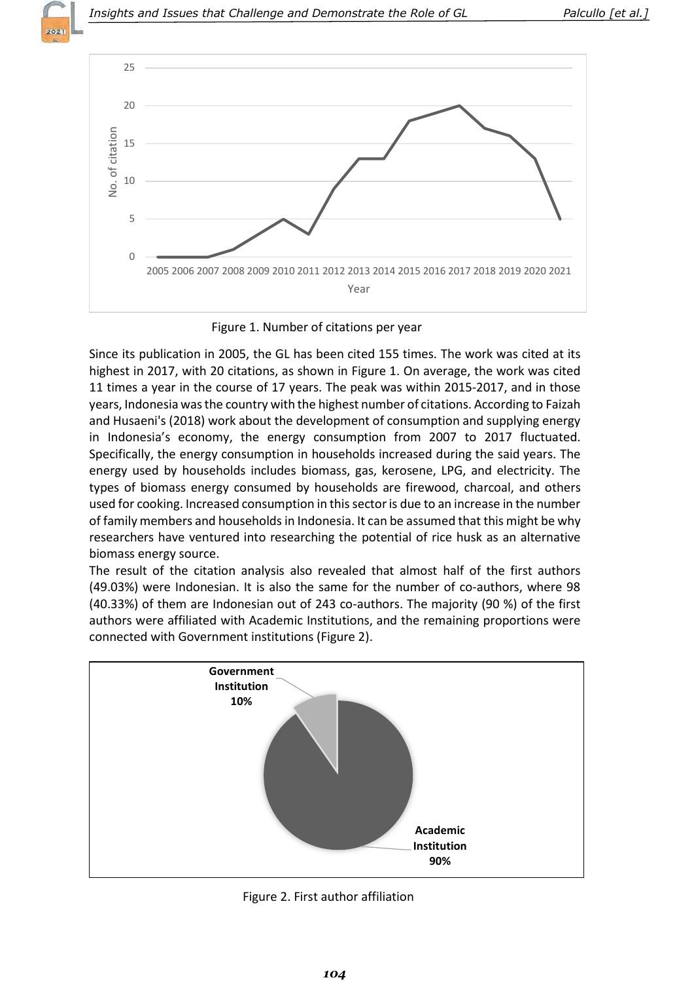



Figure 1. Number of citations per year

Since its publication in 2005, the GL has been cited 155 times. The work was cited at its highest in 2017, with 20 citations, as shown in Figure 1. On average, the work was cited 11 times a year in the course of 17 years. The peak was within 2015-2017, and in those years, Indonesia was the country with the highest number of citations. According to Faizah and Husaeni's (2018) work about the development of consumption and supplying energy in Indonesia's economy, the energy consumption from 2007 to 2017 fluctuated. Specifically, the energy consumption in households increased during the said years. The energy used by households includes biomass, gas, kerosene, LPG, and electricity. The types of biomass energy consumed by households are firewood, charcoal, and others used for cooking. Increased consumption in this sector is due to an increase in the number of family members and households in Indonesia. It can be assumed that this might be why researchers have ventured into researching the potential of rice husk as an alternative biomass energy source.

The result of the citation analysis also revealed that almost half of the first authors (49.03%) were Indonesian. It is also the same for the number of co-authors, where 98 (40.33%) of them are Indonesian out of 243 co-authors. The majority (90 %) of the first authors were affiliated with Academic Institutions, and the remaining proportions were connected with Government institutions (Figure 2).



Figure 2. First author affiliation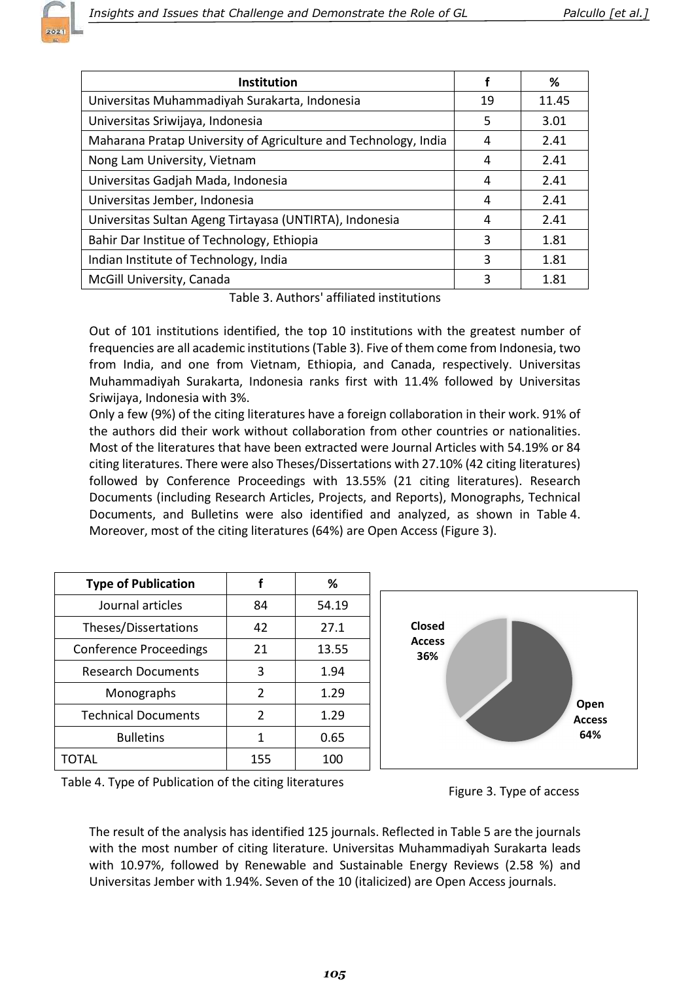

| Institution                                                     |    | ℅     |
|-----------------------------------------------------------------|----|-------|
| Universitas Muhammadiyah Surakarta, Indonesia                   | 19 | 11.45 |
| Universitas Sriwijaya, Indonesia                                | 5  | 3.01  |
| Maharana Pratap University of Agriculture and Technology, India | 4  | 2.41  |
| Nong Lam University, Vietnam                                    | 4  | 2.41  |
| Universitas Gadjah Mada, Indonesia                              | 4  | 2.41  |
| Universitas Jember, Indonesia                                   | 4  | 2.41  |
| Universitas Sultan Ageng Tirtayasa (UNTIRTA), Indonesia         | 4  | 2.41  |
| Bahir Dar Institue of Technology, Ethiopia                      | 3  | 1.81  |
| Indian Institute of Technology, India                           | 3  | 1.81  |
| McGill University, Canada                                       | 3  | 1.81  |

Table 3. Authors' affiliated institutions

Out of 101 institutions identified, the top 10 institutions with the greatest number of frequencies are all academic institutions (Table 3). Five of them come from Indonesia, two from India, and one from Vietnam, Ethiopia, and Canada, respectively. Universitas Muhammadiyah Surakarta, Indonesia ranks first with 11.4% followed by Universitas Sriwijaya, Indonesia with 3%.

Only a few (9%) of the citing literatures have a foreign collaboration in their work. 91% of the authors did their work without collaboration from other countries or nationalities. Most of the literatures that have been extracted were Journal Articles with 54.19% or 84 citing literatures. There were also Theses/Dissertations with 27.10% (42 citing literatures) followed by Conference Proceedings with 13.55% (21 citing literatures). Research Documents (including Research Articles, Projects, and Reports), Monographs, Technical Documents, and Bulletins were also identified and analyzed, as shown in Table 4. Moreover, most of the citing literatures (64%) are Open Access (Figure 3).

| <b>Type of Publication</b>    | f             | %     |
|-------------------------------|---------------|-------|
| Journal articles              | 84            | 54.19 |
| Theses/Dissertations          | 42            | 27.1  |
| <b>Conference Proceedings</b> | 21            | 13.55 |
| <b>Research Documents</b>     | 3             | 1.94  |
| Monographs                    | $\mathcal{P}$ | 1.29  |
| <b>Technical Documents</b>    | $\mathcal{P}$ | 1.29  |
| <b>Bulletins</b>              | 1             | 0.65  |
|                               | 155           | 100   |



Table 4. Type of Publication of the citing literatures

Figure 3. Type of access

The result of the analysis has identified 125 journals. Reflected in Table 5 are the journals with the most number of citing literature. Universitas Muhammadiyah Surakarta leads with 10.97%, followed by Renewable and Sustainable Energy Reviews (2.58 %) and Universitas Jember with 1.94%. Seven of the 10 (italicized) are Open Access journals.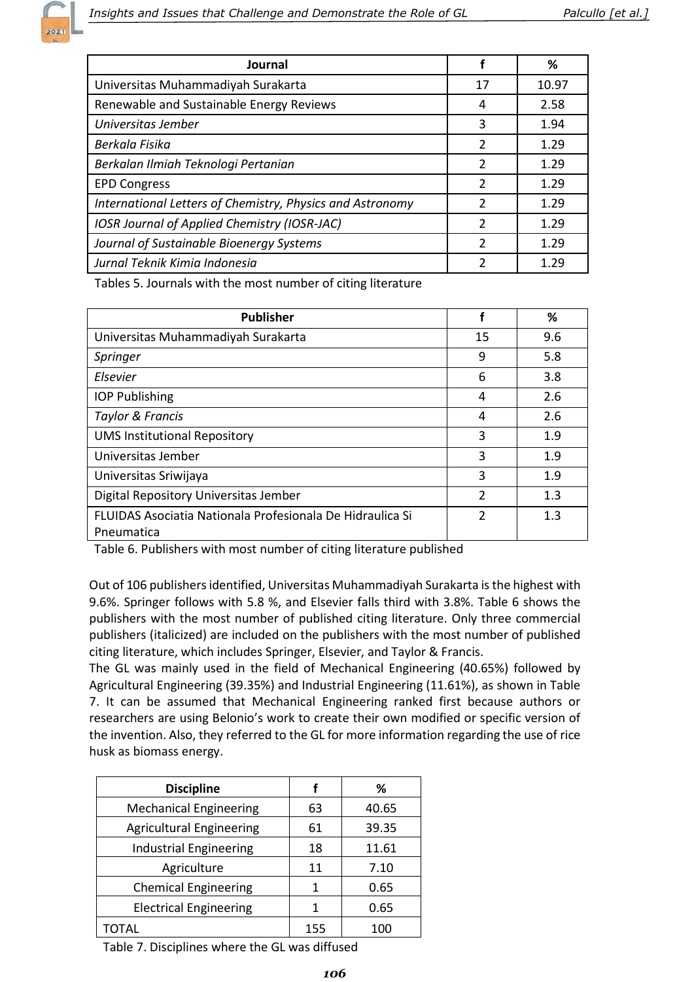

| Journal                                                   |               | %     |
|-----------------------------------------------------------|---------------|-------|
| Universitas Muhammadiyah Surakarta                        | 17            | 10.97 |
| Renewable and Sustainable Energy Reviews                  | 4             | 2.58  |
| Universitas Jember                                        | 3             | 1.94  |
| Berkala Fisika                                            | $\mathcal{P}$ | 1.29  |
| Berkalan Ilmiah Teknologi Pertanian                       | $\mathcal{P}$ | 1.29  |
| <b>EPD Congress</b>                                       | $\mathcal{P}$ | 1.29  |
| International Letters of Chemistry, Physics and Astronomy | $\mathcal{P}$ | 1.29  |
| IOSR Journal of Applied Chemistry (IOSR-JAC)              | $\mathcal{P}$ | 1.29  |
| Journal of Sustainable Bioenergy Systems                  | $\mathcal{P}$ | 1.29  |
| Jurnal Teknik Kimia Indonesia                             |               | 1.29  |

Tables 5. Journals with the most number of citing literature

| <b>Publisher</b>                                                        |               | %   |
|-------------------------------------------------------------------------|---------------|-----|
| Universitas Muhammadiyah Surakarta                                      | 15            | 9.6 |
| Springer                                                                | 9             | 5.8 |
| Elsevier                                                                | 6             | 3.8 |
| <b>IOP Publishing</b>                                                   | 4             | 2.6 |
| Taylor & Francis                                                        | 4             | 2.6 |
| <b>UMS Institutional Repository</b>                                     | 3             | 1.9 |
| Universitas Jember                                                      | 3             | 1.9 |
| Universitas Sriwijaya                                                   | 3             | 1.9 |
| Digital Repository Universitas Jember                                   | $\mathcal{P}$ | 1.3 |
| FLUIDAS Asociatia Nationala Profesionala De Hidraulica Si<br>Pneumatica | $\mathcal{P}$ | 1.3 |

Table 6. Publishers with most number of citing literature published

Out of 106 publishers identified, Universitas Muhammadiyah Surakarta is the highest with 9.6%. Springer follows with 5.8 %, and Elsevier falls third with 3.8%. Table 6 shows the publishers with the most number of published citing literature. Only three commercial publishers (italicized) are included on the publishers with the most number of published citing literature, which includes Springer, Elsevier, and Taylor & Francis.

The GL was mainly used in the field of Mechanical Engineering (40.65%) followed by Agricultural Engineering (39.35%) and Industrial Engineering (11.61%), as shown in Table 7. It can be assumed that Mechanical Engineering ranked first because authors or researchers are using Belonio's work to create their own modified or specific version of the invention. Also, they referred to the GL for more information regarding the use of rice husk as biomass energy.

| <b>Discipline</b>               |     | %     |
|---------------------------------|-----|-------|
| <b>Mechanical Engineering</b>   | 63  | 40.65 |
| <b>Agricultural Engineering</b> | 61  | 39.35 |
| <b>Industrial Engineering</b>   | 18  | 11.61 |
| Agriculture                     | 11  | 7.10  |
| <b>Chemical Engineering</b>     | 1   | 0.65  |
| <b>Electrical Engineering</b>   | 1   | 0.65  |
| ΤΩΤΑΙ                           | 155 |       |

Table 7. Disciplines where the GL was diffused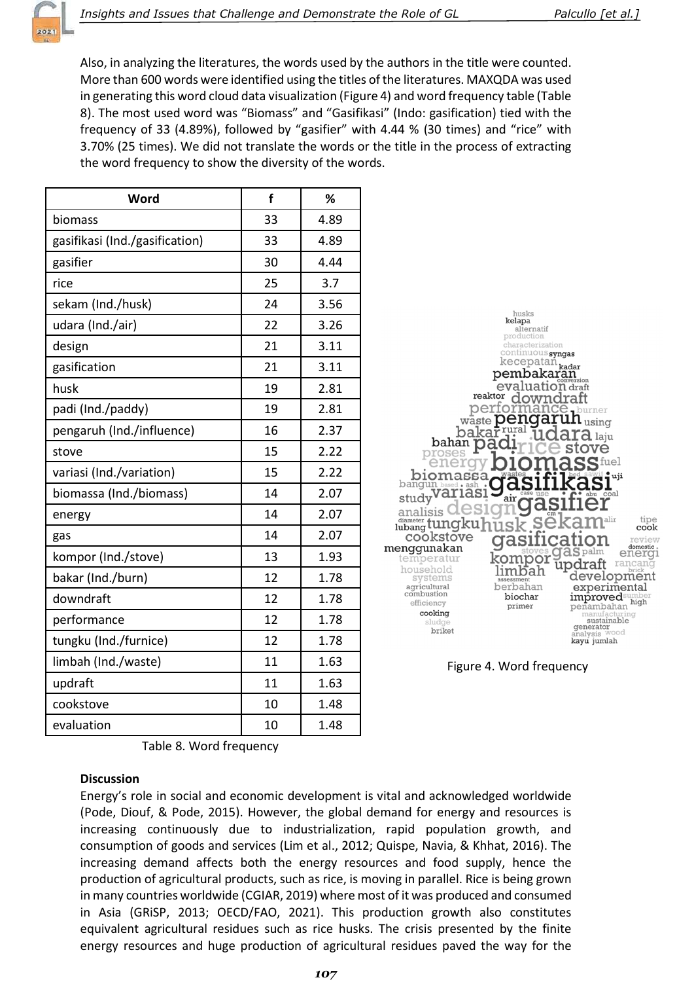

Also, in analyzing the literatures, the words used by the authors in the title were counted. More than 600 words were identified using the titles of the literatures. MAXQDA was used in generating this word cloud data visualization (Figure 4) and word frequency table (Table 8). The most used word was "Biomass" and "Gasifikasi" (Indo: gasification) tied with the frequency of 33 (4.89%), followed by "gasifier" with 4.44 % (30 times) and "rice" with 3.70% (25 times). We did not translate the words or the title in the process of extracting the word frequency to show the diversity of the words.

| Word                           | f  | %    |
|--------------------------------|----|------|
| biomass                        | 33 | 4.89 |
| gasifikasi (Ind./gasification) | 33 | 4.89 |
| gasifier                       | 30 | 4.44 |
| rice                           | 25 | 3.7  |
| sekam (Ind./husk)              | 24 | 3.56 |
| udara (Ind./air)               | 22 | 3.26 |
| design                         | 21 | 3.11 |
| gasification                   | 21 | 3.11 |
| husk                           | 19 | 2.81 |
| padi (Ind./paddy)              | 19 | 2.81 |
| pengaruh (Ind./influence)      | 16 | 2.37 |
| stove                          | 15 | 2.22 |
| variasi (Ind./variation)       | 15 | 2.22 |
| biomassa (Ind./biomass)        | 14 | 2.07 |
| energy                         | 14 | 2.07 |
| gas                            | 14 | 2.07 |
| kompor (Ind./stove)            | 13 | 1.93 |
| bakar (Ind./burn)              | 12 | 1.78 |
| downdraft                      | 12 | 1.78 |
| performance                    | 12 | 1.78 |
| tungku (Ind./furnice)          | 12 | 1.78 |
| limbah (Ind./waste)            | 11 | 1.63 |
| updraft                        | 11 | 1.63 |
| cookstove                      | 10 | 1.48 |
| evaluation                     | 10 | 1.48 |



Figure 4. Word frequency

Table 8. Word frequency

# **Discussion**

Energy's role in social and economic development is vital and acknowledged worldwide (Pode, Diouf, & Pode, 2015). However, the global demand for energy and resources is increasing continuously due to industrialization, rapid population growth, and consumption of goods and services (Lim et al., 2012; Quispe, Navia, & Khhat, 2016). The increasing demand affects both the energy resources and food supply, hence the production of agricultural products, such as rice, is moving in parallel. Rice is being grown in many countries worldwide (CGIAR, 2019) where most of it was produced and consumed in Asia (GRiSP, 2013; OECD/FAO, 2021). This production growth also constitutes equivalent agricultural residues such as rice husks. The crisis presented by the finite energy resources and huge production of agricultural residues paved the way for the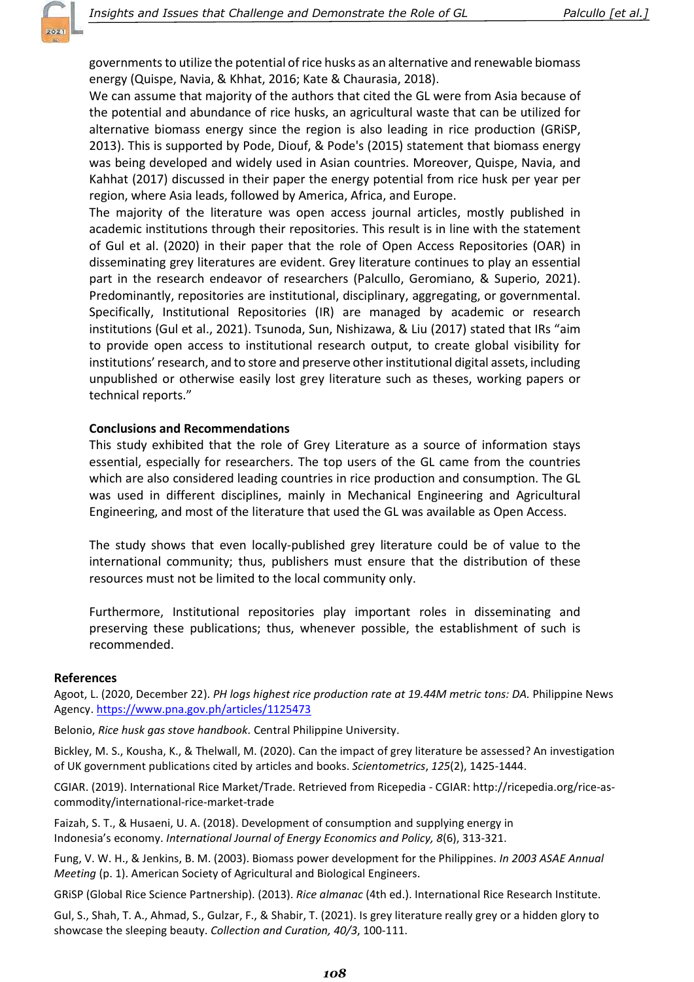governments to utilize the potential of rice husks as an alternative and renewable biomass energy (Quispe, Navia, & Khhat, 2016; Kate & Chaurasia, 2018).

We can assume that majority of the authors that cited the GL were from Asia because of the potential and abundance of rice husks, an agricultural waste that can be utilized for alternative biomass energy since the region is also leading in rice production (GRiSP, 2013). This is supported by Pode, Diouf, & Pode's (2015) statement that biomass energy was being developed and widely used in Asian countries. Moreover, Quispe, Navia, and Kahhat (2017) discussed in their paper the energy potential from rice husk per year per region, where Asia leads, followed by America, Africa, and Europe.

The majority of the literature was open access journal articles, mostly published in academic institutions through their repositories. This result is in line with the statement of Gul et al. (2020) in their paper that the role of Open Access Repositories (OAR) in disseminating grey literatures are evident. Grey literature continues to play an essential part in the research endeavor of researchers (Palcullo, Geromiano, & Superio, 2021). Predominantly, repositories are institutional, disciplinary, aggregating, or governmental. Specifically, Institutional Repositories (IR) are managed by academic or research institutions (Gul et al., 2021). Tsunoda, Sun, Nishizawa, & Liu (2017) stated that IRs "aim to provide open access to institutional research output, to create global visibility for institutions' research, and to store and preserve other institutional digital assets, including unpublished or otherwise easily lost grey literature such as theses, working papers or technical reports."

# Conclusions and Recommendations

This study exhibited that the role of Grey Literature as a source of information stays essential, especially for researchers. The top users of the GL came from the countries which are also considered leading countries in rice production and consumption. The GL was used in different disciplines, mainly in Mechanical Engineering and Agricultural Engineering, and most of the literature that used the GL was available as Open Access.

The study shows that even locally-published grey literature could be of value to the international community; thus, publishers must ensure that the distribution of these resources must not be limited to the local community only.

Furthermore, Institutional repositories play important roles in disseminating and preserving these publications; thus, whenever possible, the establishment of such is recommended.

#### References

Agoot, L. (2020, December 22). PH logs highest rice production rate at 19.44M metric tons: DA. Philippine News Agency. https://www.pna.gov.ph/articles/1125473

Belonio, Rice husk gas stove handbook. Central Philippine University.

Bickley, M. S., Kousha, K., & Thelwall, M. (2020). Can the impact of grey literature be assessed? An investigation of UK government publications cited by articles and books. Scientometrics, 125(2), 1425-1444.

CGIAR. (2019). International Rice Market/Trade. Retrieved from Ricepedia - CGIAR: http://ricepedia.org/rice-ascommodity/international-rice-market-trade

Faizah, S. T., & Husaeni, U. A. (2018). Development of consumption and supplying energy in Indonesia's economy. International Journal of Energy Economics and Policy, 8(6), 313-321.

Fung, V. W. H., & Jenkins, B. M. (2003). Biomass power development for the Philippines. In 2003 ASAE Annual Meeting (p. 1). American Society of Agricultural and Biological Engineers.

GRiSP (Global Rice Science Partnership). (2013). Rice almanac (4th ed.). International Rice Research Institute.

Gul, S., Shah, T. A., Ahmad, S., Gulzar, F., & Shabir, T. (2021). Is grey literature really grey or a hidden glory to showcase the sleeping beauty. Collection and Curation, 40/3, 100-111.